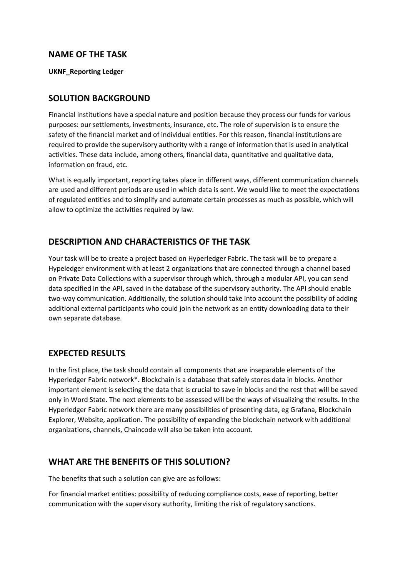## **NAME OF THE TASK**

**UKNF\_Reporting Ledger**

## **SOLUTION BACKGROUND**

Financial institutions have a special nature and position because they process our funds for various purposes: our settlements, investments, insurance, etc. The role of supervision is to ensure the safety of the financial market and of individual entities. For this reason, financial institutions are required to provide the supervisory authority with a range of information that is used in analytical activities. These data include, among others, financial data, quantitative and qualitative data, information on fraud, etc.

What is equally important, reporting takes place in different ways, different communication channels are used and different periods are used in which data is sent. We would like to meet the expectations of regulated entities and to simplify and automate certain processes as much as possible, which will allow to optimize the activities required by law.

# **DESCRIPTION AND CHARACTERISTICS OF THE TASK**

Your task will be to create a project based on Hyperledger Fabric. The task will be to prepare a Hypeledger environment with at least 2 organizations that are connected through a channel based on Private Data Collections with a supervisor through which, through a modular API, you can send data specified in the API, saved in the database of the supervisory authority. The API should enable two-way communication. Additionally, the solution should take into account the possibility of adding additional external participants who could join the network as an entity downloading data to their own separate database.

## **EXPECTED RESULTS**

In the first place, the task should contain all components that are inseparable elements of the Hyperledger Fabric network\*. Blockchain is a database that safely stores data in blocks. Another important element is selecting the data that is crucial to save in blocks and the rest that will be saved only in Word State. The next elements to be assessed will be the ways of visualizing the results. In the Hyperledger Fabric network there are many possibilities of presenting data, eg Grafana, Blockchain Explorer, Website, application. The possibility of expanding the blockchain network with additional organizations, channels, Chaincode will also be taken into account.

## **WHAT ARE THE BENEFITS OF THIS SOLUTION?**

The benefits that such a solution can give are as follows:

For financial market entities: possibility of reducing compliance costs, ease of reporting, better communication with the supervisory authority, limiting the risk of regulatory sanctions.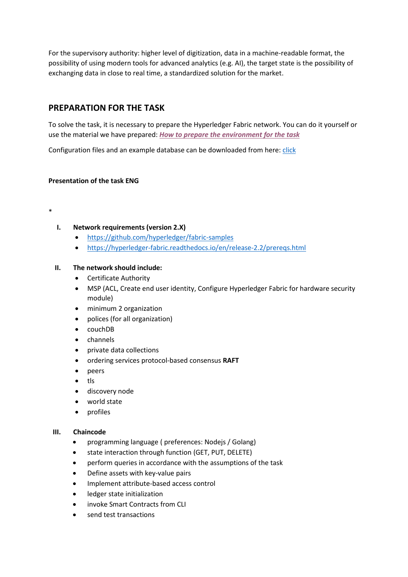For the supervisory authority: higher level of digitization, data in a machine-readable format, the possibility of using modern tools for advanced analytics (e.g. AI), the target state is the possibility of exchanging data in close to real time, a standardized solution for the market.

# **PREPARATION FOR THE TASK**

To solve the task, it is necessary to prepare the Hyperledger Fabric network. You can do it yourself or use the material we have prepared: *[How to prepare the environment for the task](https://hackyeah.pl/wp-content/uploads/2021/12/How-to-prepare-the-environment-for-the-task.pdf)*

Configuration files and an example database can be downloaded from here: [click](https://github.com/Fintech-KNF/HLF-4-HackYeah)

#### **Presentation of the task ENG**

\*

### **I. Network requirements (version 2.X)**

- <https://github.com/hyperledger/fabric-samples>
- <https://hyperledger-fabric.readthedocs.io/en/release-2.2/prereqs.html>

### **II. The network should include:**

- Certificate Authority
- MSP (ACL, Create end user identity, Configure Hyperledger Fabric for hardware security module)
- minimum 2 organization
- polices (for all organization)
- couchDB
- channels
- private data collections
- ordering services protocol-based consensus **RAFT**
- peers
- tls
- discovery node
- world state
- profiles

#### **III. Chaincode**

- programming language ( preferences: Nodejs / Golang)
- state interaction through function (GET, PUT, DELETE)
- perform queries in accordance with the assumptions of the task
- Define assets with key-value pairs
- Implement attribute-based access control
- ledger state initialization
- invoke Smart Contracts from CLI
- send test transactions